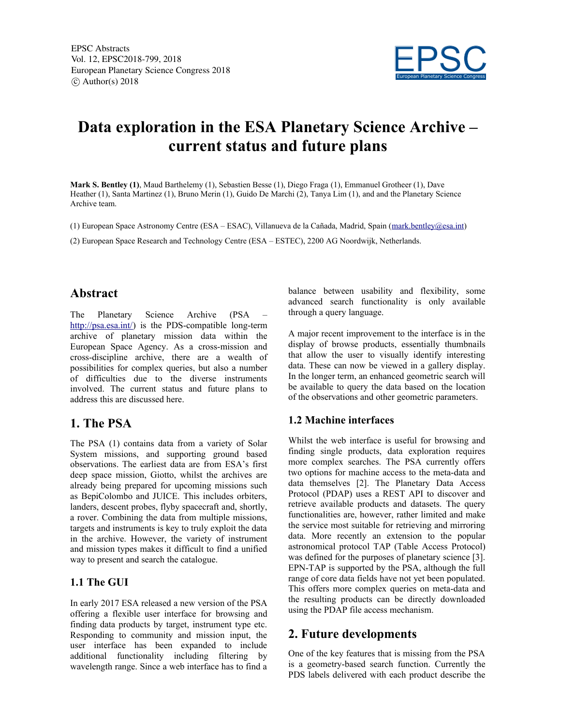

# **Data exploration in the ESA Planetary Science Archive – current status and future plans**

**Mark S. Bentley (1)**, Maud Barthelemy (1), Sebastien Besse (1), Diego Fraga (1), Emmanuel Grotheer (1), Dave Heather (1), Santa Martinez (1), Bruno Merin (1), Guido De Marchi (2), Tanya Lim (1), and and the Planetary Science Archive team.

(1) European Space Astronomy Centre (ESA – ESAC), Villanueva de la Cañada, Madrid, Spain (mark.bentley@esa.int)

(2) European Space Research and Technology Centre (ESA – ESTEC), 2200 AG Noordwijk, Netherlands.

## **Abstract**

The Planetary Science Archive (PSA http://psa.esa.int/) is the PDS-compatible long-term archive of planetary mission data within the European Space Agency. As a cross-mission and cross-discipline archive, there are a wealth of possibilities for complex queries, but also a number of difficulties due to the diverse instruments involved. The current status and future plans to address this are discussed here.

## **1. The PSA**

The PSA (1) contains data from a variety of Solar System missions, and supporting ground based observations. The earliest data are from ESA's first deep space mission, Giotto, whilst the archives are already being prepared for upcoming missions such as BepiColombo and JUICE. This includes orbiters, landers, descent probes, flyby spacecraft and, shortly, a rover. Combining the data from multiple missions, targets and instruments is key to truly exploit the data in the archive. However, the variety of instrument and mission types makes it difficult to find a unified way to present and search the catalogue.

#### **1.1 The GUI**

In early 2017 ESA released a new version of the PSA offering a flexible user interface for browsing and finding data products by target, instrument type etc. Responding to community and mission input, the user interface has been expanded to include additional functionality including filtering by wavelength range. Since a web interface has to find a balance between usability and flexibility, some advanced search functionality is only available through a query language.

A major recent improvement to the interface is in the display of browse products, essentially thumbnails that allow the user to visually identify interesting data. These can now be viewed in a gallery display. In the longer term, an enhanced geometric search will be available to query the data based on the location of the observations and other geometric parameters.

#### **1.2 Machine interfaces**

Whilst the web interface is useful for browsing and finding single products, data exploration requires more complex searches. The PSA currently offers two options for machine access to the meta-data and data themselves [2]. The Planetary Data Access Protocol (PDAP) uses a REST API to discover and retrieve available products and datasets. The query functionalities are, however, rather limited and make the service most suitable for retrieving and mirroring data. More recently an extension to the popular astronomical protocol TAP (Table Access Protocol) was defined for the purposes of planetary science [3]. EPN-TAP is supported by the PSA, although the full range of core data fields have not yet been populated. This offers more complex queries on meta-data and the resulting products can be directly downloaded using the PDAP file access mechanism.

## **2. Future developments**

One of the key features that is missing from the PSA is a geometry-based search function. Currently the PDS labels delivered with each product describe the